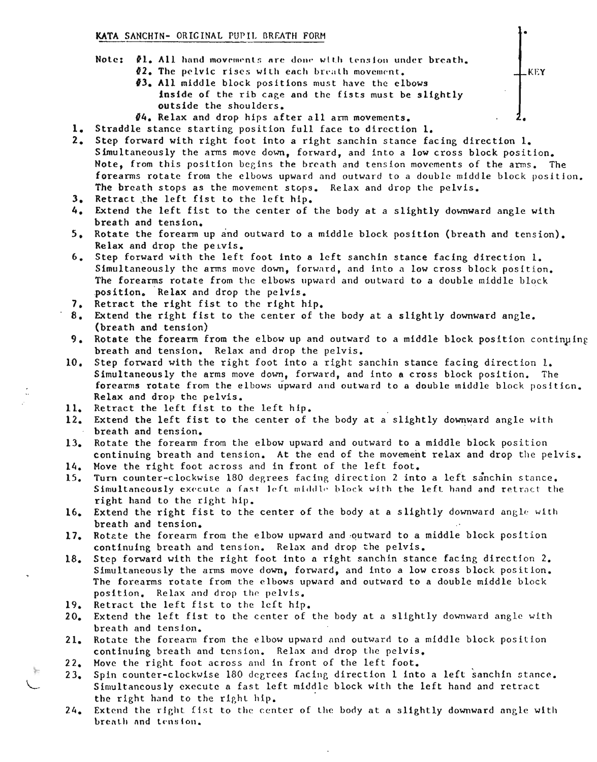## KATA SANCHIN- ORIGINAL PUPIL BREATH FORM

- Note:  $\mathbf{A}1$ . All hand movements are done with tension under breath.  $12.$  The pelvic rises with each breath movement.
	- *13.* All middle block positions must have the elbows inside of the rib cage and the fists must be slightly outside the shoulders.
	- *14.* Relax and drop hips after all arm movements.
- 1. Straddle stance starting position full face to direction 1.
- 2. Step forward with right foot into a right sanchin stance facing direction 1. Simultaneously the arms move down, forward, and into a low cross block position. Note, from this position begins the breath and tension movements of the arms. The forearms rotate from the elbows upward and outward to a double middle block position. The breath stops as the movement stops. Relax and drop the pelvis.

KEY

•

- 3. Retract the left fist to the left hip.
- 4. Extend the left fist to the center of the body at a slightly downward angle with breath and tension.
- 5. Rotate the forearm up and outward to a middle block position (breath and tension). Relax and drop the peivis.
- Step forward with the left foot into a left sanchin stance facing direction 1.  $6.$ Simultaneously the arms move down, forward, and into a low cross block position. The forearms rotate from the elbows upward and outward to a double middle block position. Relax and drop the pelvis.
- 7. Retract the right fist to the right hip.
- 8. Extend the right fist to the center of the body at a slightly downward angle. (breath and tension)
- 9. Rotate the forearm from the elbow up and outward to a middle block position continuing breath and tension. Relax and drop the pelvis.
- Step forward with the right foot into a right sanchin stance facing direction 1. Simultaneously the arms move down, forward, and into a cross block position. The forearms rotate from the elbows upward and outward to a double middle block position. Relax and drop the pelvis. 10.
- 11. Retract the left fist to the left hip.
- 12. Extend the left fist to the center of the body at a slightly downward angle with breath and tension.
- Rotate the forearm from the elbow upward and outward to a middle block position continuing breath and tension. At the end of the movement relax and drop the pelvis. 13.
- Move the right foot across and in front of the left foot. 14.
- Turn counter-clockwise 180 degrees facing direction 2 into a left sanchin stance. Simultaneously execute a fast left middle block with the left hand and retract the right hand to the right hip. 15.
- 16. Extend the right fist to the center of the body at a slightly downward angle with breath and tension.
- Rotate the forearm from the elbow upward and outward to a middle block position continuing breath and tension. Relax and drop the pelvis. 17.
- Step forward with the right foot into a right sanchin stance facing direction 2. Simultaneously the arms move down, forward, and into a low cross block position. The forearms rotate from the elbows upward and outward to a double middle block position. Relax and drop the pelvis. 18.
- Retract the left fist to the left hip. 19.
- Extend the left fist to the center of the body at a slightly downward angle with breath and tension. 20.
- Rotate the foreanm from the elbow upward nnd outward to a middle block position continuing breath and tension. Relax and drop the pelvis. 21.
- Move the right foot across and in front of the left foot. 22.
- Spin counter-clockwise 180 degrees facing direction 1 into a left sanchin stance. Simultaneously execute a fast left middle block with the left hand and retract the right hand to the right hip.  $23.$
- Extend the right fist to the center of the body at a slightly downward angle with breath and tension. 24.